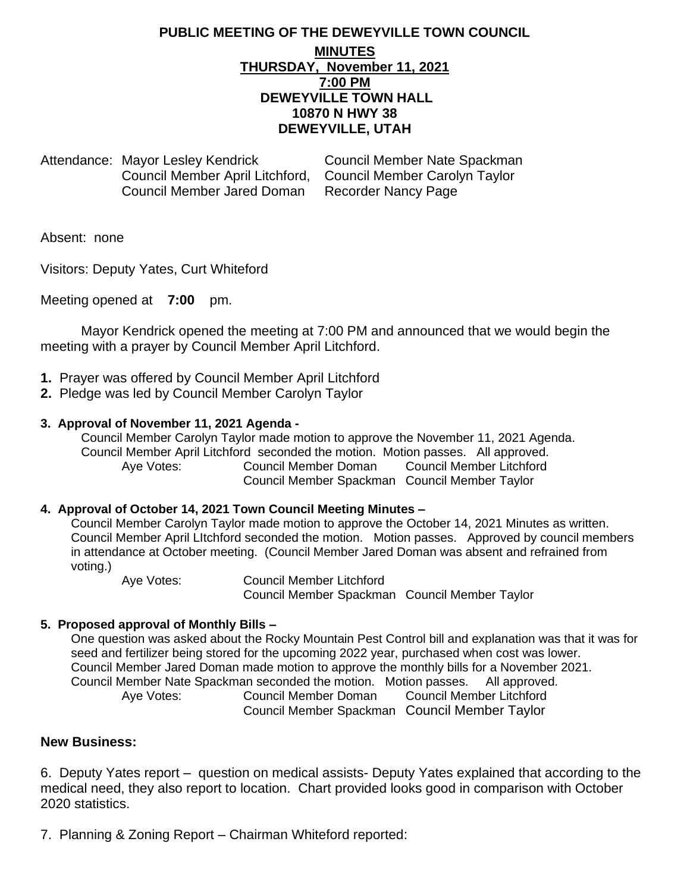## **PUBLIC MEETING OF THE DEWEYVILLE TOWN COUNCIL MINUTES THURSDAY, November 11, 2021 7:00 PM DEWEYVILLE TOWN HALL 10870 N HWY 38 DEWEYVILLE, UTAH**

Attendance: Mayor Lesley Kendrick Council Member Nate Spackman Council Member April Litchford, Council Member Carolyn Taylor Council Member Jared Doman Recorder Nancy Page

Absent: none

Visitors: Deputy Yates, Curt Whiteford

Meeting opened at **7:00** pm.

Mayor Kendrick opened the meeting at 7:00 PM and announced that we would begin the meeting with a prayer by Council Member April Litchford.

- **1.** Prayer was offered by Council Member April Litchford
- **2.** Pledge was led by Council Member Carolyn Taylor

### **3. Approval of November 11, 2021 Agenda -**

Council Member Carolyn Taylor made motion to approve the November 11, 2021 Agenda. Council Member April Litchford seconded the motion. Motion passes. All approved. Aye Votes: Council Member Doman Council Member Spackman Council Member Taylor

### **4. Approval of October 14, 2021 Town Council Meeting Minutes –**

Council Member Carolyn Taylor made motion to approve the October 14, 2021 Minutes as written. Council Member April LItchford seconded the motion. Motion passes. Approved by council members in attendance at October meeting. (Council Member Jared Doman was absent and refrained from voting.)

Aye Votes: Council Member Litchford Council Member Spackman Council Member Taylor

### **5. Proposed approval of Monthly Bills –**

One question was asked about the Rocky Mountain Pest Control bill and explanation was that it was for seed and fertilizer being stored for the upcoming 2022 year, purchased when cost was lower. Council Member Jared Doman made motion to approve the monthly bills for a November 2021. Council Member Nate Spackman seconded the motion. Motion passes. All approved. Aye Votes: Council Member Doman Council Member Litchford Council Member Spackman Council Member Taylor

### **New Business:**

6. Deputy Yates report – question on medical assists- Deputy Yates explained that according to the medical need, they also report to location. Chart provided looks good in comparison with October 2020 statistics.

7. Planning & Zoning Report – Chairman Whiteford reported: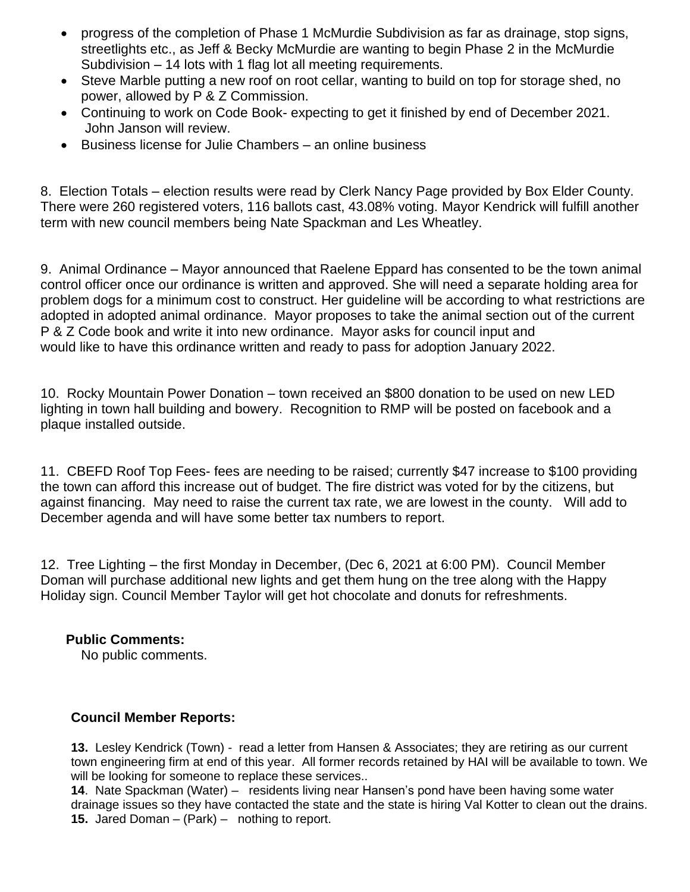- progress of the completion of Phase 1 McMurdie Subdivision as far as drainage, stop signs, streetlights etc., as Jeff & Becky McMurdie are wanting to begin Phase 2 in the McMurdie Subdivision – 14 lots with 1 flag lot all meeting requirements.
- Steve Marble putting a new roof on root cellar, wanting to build on top for storage shed, no power, allowed by P & Z Commission.
- Continuing to work on Code Book- expecting to get it finished by end of December 2021. John Janson will review.
- Business license for Julie Chambers an online business

8. Election Totals – election results were read by Clerk Nancy Page provided by Box Elder County. There were 260 registered voters, 116 ballots cast, 43.08% voting. Mayor Kendrick will fulfill another term with new council members being Nate Spackman and Les Wheatley.

9. Animal Ordinance – Mayor announced that Raelene Eppard has consented to be the town animal control officer once our ordinance is written and approved. She will need a separate holding area for problem dogs for a minimum cost to construct. Her guideline will be according to what restrictions are adopted in adopted animal ordinance. Mayor proposes to take the animal section out of the current P & Z Code book and write it into new ordinance. Mayor asks for council input and would like to have this ordinance written and ready to pass for adoption January 2022.

10. Rocky Mountain Power Donation – town received an \$800 donation to be used on new LED lighting in town hall building and bowery. Recognition to RMP will be posted on facebook and a plaque installed outside.

11. CBEFD Roof Top Fees- fees are needing to be raised; currently \$47 increase to \$100 providing the town can afford this increase out of budget. The fire district was voted for by the citizens, but against financing. May need to raise the current tax rate, we are lowest in the county. Will add to December agenda and will have some better tax numbers to report.

12. Tree Lighting – the first Monday in December, (Dec 6, 2021 at 6:00 PM). Council Member Doman will purchase additional new lights and get them hung on the tree along with the Happy Holiday sign. Council Member Taylor will get hot chocolate and donuts for refreshments.

## **Public Comments:**

No public comments.

# **Council Member Reports:**

**13.** Lesley Kendrick (Town) - read a letter from Hansen & Associates; they are retiring as our current town engineering firm at end of this year. All former records retained by HAI will be available to town. We will be looking for someone to replace these services..

**14**. Nate Spackman (Water) – residents living near Hansen's pond have been having some water drainage issues so they have contacted the state and the state is hiring Val Kotter to clean out the drains. **15.** Jared Doman – (Park) – nothing to report.